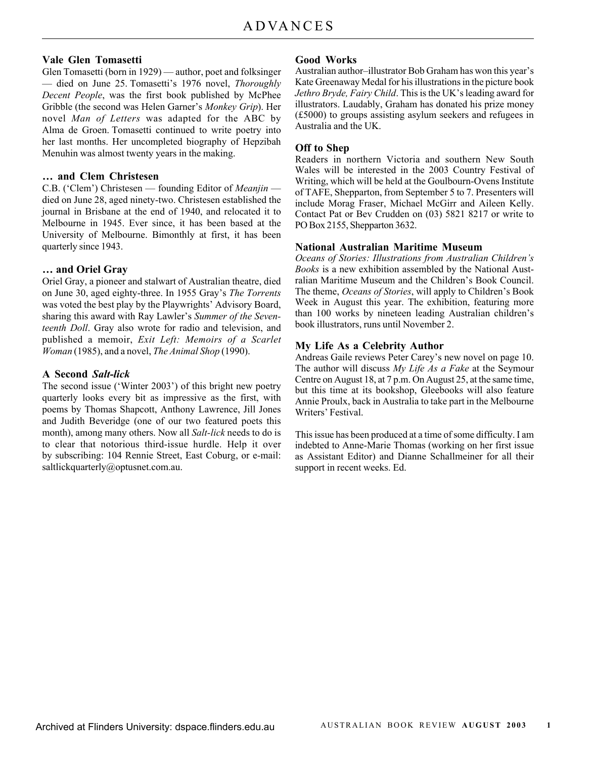## **Vale Glen Tomasetti**

Glen Tomasetti (born in 1929) — author, poet and folksinger — died on June 25. Tomasetti's 1976 novel, *Thoroughly Decent People*, was the first book published by McPhee Gribble (the second was Helen Garner's *Monkey Grip*). Her novel *Man of Letters* was adapted for the ABC by Alma de Groen. Tomasetti continued to write poetry into her last months. Her uncompleted biography of Hepzibah Menuhin was almost twenty years in the making.

### **… and Clem Christesen**

C.B. ('Clem') Christesen — founding Editor of *Meanjin* died on June 28, aged ninety-two. Christesen established the journal in Brisbane at the end of 1940, and relocated it to Melbourne in 1945. Ever since, it has been based at the University of Melbourne. Bimonthly at first, it has been quarterly since 1943.

## **… and Oriel Gray**

Oriel Gray, a pioneer and stalwart of Australian theatre, died on June 30, aged eighty-three. In 1955 Gray's *The Torrents* was voted the best play by the Playwrights' Advisory Board, sharing this award with Ray Lawler's *Summer of the Seventeenth Doll*. Gray also wrote for radio and television, and published a memoir, *Exit Left: Memoirs of a Scarlet Woman* (1985), and a novel, *The Animal Shop* (1990).

## **A Second** *Salt-lick*

The second issue ('Winter 2003') of this bright new poetry quarterly looks every bit as impressive as the first, with poems by Thomas Shapcott, Anthony Lawrence, Jill Jones and Judith Beveridge (one of our two featured poets this month), among many others. Now all *Salt-lick* needs to do is to clear that notorious third-issue hurdle. Help it over by subscribing: 104 Rennie Street, East Coburg, or e-mail: saltlickquarterly@optusnet.com.au.

## **Good Works**

Australian author–illustrator Bob Graham has won this year's Kate Greenaway Medal for his illustrations in the picture book *Jethro Bryde, Fairy Child*. This is the UK's leading award for illustrators. Laudably, Graham has donated his prize money (£5000) to groups assisting asylum seekers and refugees in Australia and the UK.

## **Off to Shep**

Readers in northern Victoria and southern New South Wales will be interested in the 2003 Country Festival of Writing, which will be held at the Goulbourn-Ovens Institute of TAFE, Shepparton, from September 5 to 7. Presenters will include Morag Fraser, Michael McGirr and Aileen Kelly. Contact Pat or Bev Crudden on (03) 5821 8217 or write to PO Box 2155, Shepparton 3632.

## **National Australian Maritime Museum**

*Oceans of Stories: Illustrations from Australian Children's Books* is a new exhibition assembled by the National Australian Maritime Museum and the Children's Book Council. The theme, *Oceans of Stories*, will apply to Children's Book Week in August this year. The exhibition, featuring more than 100 works by nineteen leading Australian children's book illustrators, runs until November 2.

## **My Life As a Celebrity Author**

Andreas Gaile reviews Peter Carey's new novel on page 10. The author will discuss *My Life As a Fake* at the Seymour Centre on August 18, at 7 p.m. On August 25, at the same time, but this time at its bookshop, Gleebooks will also feature Annie Proulx, back in Australia to take part in the Melbourne Writers' Festival.

This issue has been produced at a time of some difficulty. I am indebted to Anne-Marie Thomas (working on her first issue as Assistant Editor) and Dianne Schallmeiner for all their support in recent weeks. Ed.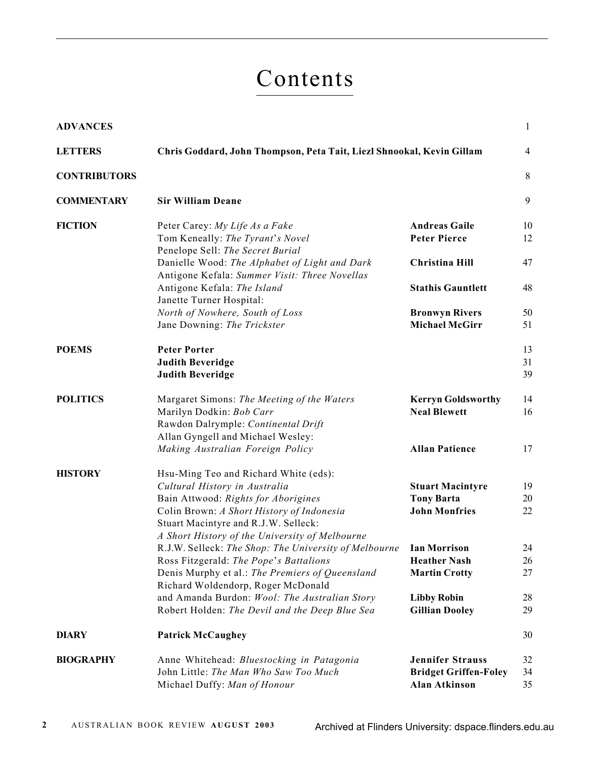# Contents

| <b>ADVANCES</b>     |                                                                                                                                    |                                             | $\mathbf{1}$   |
|---------------------|------------------------------------------------------------------------------------------------------------------------------------|---------------------------------------------|----------------|
| <b>LETTERS</b>      | Chris Goddard, John Thompson, Peta Tait, Liezl Shnookal, Kevin Gillam                                                              |                                             | $\overline{4}$ |
| <b>CONTRIBUTORS</b> |                                                                                                                                    |                                             | 8              |
| <b>COMMENTARY</b>   | <b>Sir William Deane</b>                                                                                                           |                                             | 9              |
| <b>FICTION</b>      | Peter Carey: My Life As a Fake                                                                                                     | <b>Andreas Gaile</b>                        | 10             |
|                     | Tom Keneally: The Tyrant's Novel                                                                                                   | <b>Peter Pierce</b>                         | 12             |
|                     | Penelope Sell: The Secret Burial<br>Danielle Wood: The Alphabet of Light and Dark<br>Antigone Kefala: Summer Visit: Three Novellas | <b>Christina Hill</b>                       | 47             |
|                     | Antigone Kefala: The Island<br>Janette Turner Hospital:                                                                            | <b>Stathis Gauntlett</b>                    | 48             |
|                     | North of Nowhere, South of Loss                                                                                                    | <b>Bronwyn Rivers</b>                       | 50             |
|                     | Jane Downing: The Trickster                                                                                                        | <b>Michael McGirr</b>                       | 51             |
| <b>POEMS</b>        | <b>Peter Porter</b>                                                                                                                |                                             | 13             |
|                     | <b>Judith Beveridge</b>                                                                                                            |                                             | 31             |
|                     | <b>Judith Beveridge</b>                                                                                                            |                                             | 39             |
| <b>POLITICS</b>     | Margaret Simons: The Meeting of the Waters                                                                                         | <b>Kerryn Goldsworthy</b>                   | 14             |
|                     | Marilyn Dodkin: Bob Carr                                                                                                           | <b>Neal Blewett</b>                         | 16             |
|                     | Rawdon Dalrymple: Continental Drift                                                                                                |                                             |                |
|                     | Allan Gyngell and Michael Wesley:<br>Making Australian Foreign Policy                                                              | <b>Allan Patience</b>                       | 17             |
|                     |                                                                                                                                    |                                             |                |
| <b>HISTORY</b>      | Hsu-Ming Teo and Richard White (eds):                                                                                              |                                             |                |
|                     | Cultural History in Australia                                                                                                      | <b>Stuart Macintyre</b>                     | 19             |
|                     | Bain Attwood: Rights for Aborigines<br>Colin Brown: A Short History of Indonesia                                                   | <b>Tony Barta</b><br><b>John Monfries</b>   | 20<br>22       |
|                     | Stuart Macintyre and R.J.W. Selleck:                                                                                               |                                             |                |
|                     | A Short History of the University of Melbourne                                                                                     |                                             |                |
|                     | R.J.W. Selleck: The Shop: The University of Melbourne                                                                              | <b>Ian Morrison</b>                         | 24             |
|                     | Ross Fitzgerald: The Pope's Battalions                                                                                             | <b>Heather Nash</b><br><b>Martin Crotty</b> | 26<br>27       |
|                     | Denis Murphy et al.: The Premiers of Queensland<br>Richard Woldendorp, Roger McDonald                                              |                                             |                |
|                     | and Amanda Burdon: Wool: The Australian Story                                                                                      | <b>Libby Robin</b>                          | 28             |
|                     | Robert Holden: The Devil and the Deep Blue Sea                                                                                     | <b>Gillian Dooley</b>                       | 29             |
| <b>DIARY</b>        | <b>Patrick McCaughey</b>                                                                                                           |                                             | 30             |
| <b>BIOGRAPHY</b>    | Anne Whitehead: Bluestocking in Patagonia                                                                                          | <b>Jennifer Strauss</b>                     | 32             |
|                     | John Little: The Man Who Saw Too Much                                                                                              | <b>Bridget Griffen-Foley</b>                | 34             |
|                     | Michael Duffy: Man of Honour                                                                                                       | <b>Alan Atkinson</b>                        | 35             |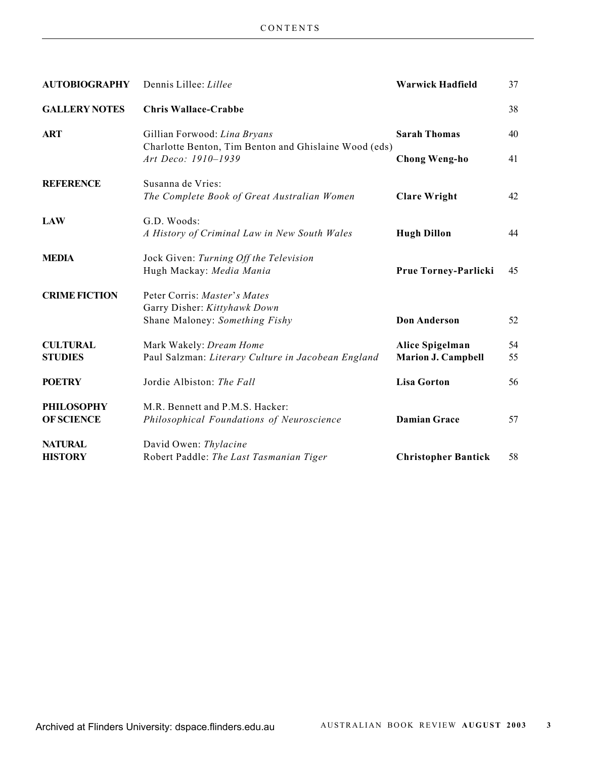| <b>AUTOBIOGRAPHY</b> | Dennis Lillee: Lillee                                                                 | <b>Warwick Hadfield</b>    | 37 |
|----------------------|---------------------------------------------------------------------------------------|----------------------------|----|
| <b>GALLERY NOTES</b> | <b>Chris Wallace-Crabbe</b>                                                           |                            | 38 |
| <b>ART</b>           | Gillian Forwood: Lina Bryans<br>Charlotte Benton, Tim Benton and Ghislaine Wood (eds) | <b>Sarah Thomas</b>        | 40 |
|                      | Art Deco: 1910-1939                                                                   | <b>Chong Weng-ho</b>       | 41 |
| <b>REFERENCE</b>     | Susanna de Vries:                                                                     |                            |    |
|                      | The Complete Book of Great Australian Women                                           | <b>Clare Wright</b>        | 42 |
| <b>LAW</b>           | G.D. Woods:                                                                           |                            |    |
|                      | A History of Criminal Law in New South Wales                                          | <b>Hugh Dillon</b>         | 44 |
| <b>MEDIA</b>         | Jock Given: Turning Off the Television                                                |                            |    |
|                      | Hugh Mackay: Media Mania                                                              | Prue Torney-Parlicki       | 45 |
| <b>CRIME FICTION</b> | Peter Corris: Master's Mates                                                          |                            |    |
|                      | Garry Disher: Kittyhawk Down                                                          |                            |    |
|                      | Shane Maloney: Something Fishy                                                        | <b>Don Anderson</b>        | 52 |
| <b>CULTURAL</b>      | Mark Wakely: Dream Home                                                               | Alice Spigelman            | 54 |
| <b>STUDIES</b>       | Paul Salzman: Literary Culture in Jacobean England                                    | <b>Marion J. Campbell</b>  | 55 |
| <b>POETRY</b>        | Jordie Albiston: The Fall                                                             | <b>Lisa Gorton</b>         | 56 |
| <b>PHILOSOPHY</b>    | M.R. Bennett and P.M.S. Hacker:                                                       |                            |    |
| <b>OF SCIENCE</b>    | Philosophical Foundations of Neuroscience                                             | <b>Damian Grace</b>        | 57 |
| <b>NATURAL</b>       | David Owen: Thylacine                                                                 |                            |    |
| <b>HISTORY</b>       | Robert Paddle: The Last Tasmanian Tiger                                               | <b>Christopher Bantick</b> | 58 |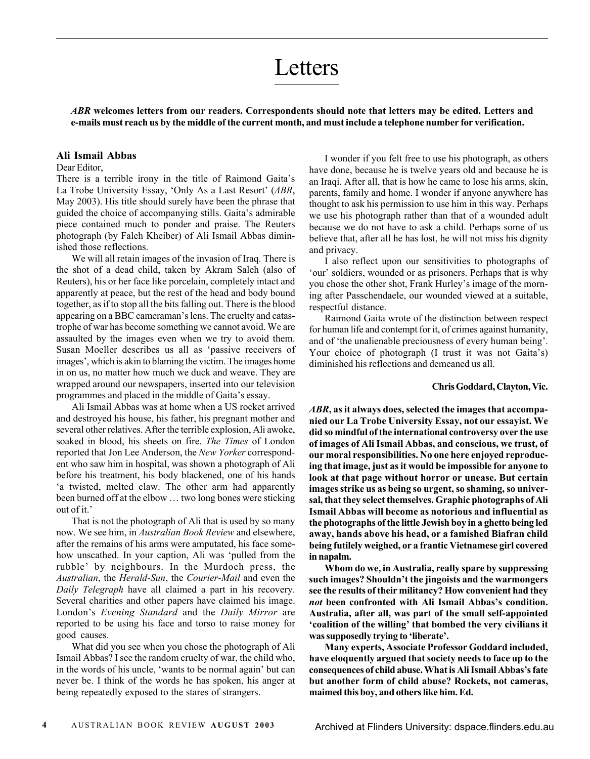## Letters

*ABR* **welcomes letters from our readers. Correspondents should note that letters may be edited. Letters and e-mails must reach us by the middle of the current month, and must include a telephone number for verification.**

#### **Ali Ismail Abbas**

#### Dear Editor,

There is a terrible irony in the title of Raimond Gaita's La Trobe University Essay, 'Only As a Last Resort' (*ABR*, May 2003). His title should surely have been the phrase that guided the choice of accompanying stills. Gaita's admirable piece contained much to ponder and praise. The Reuters photograph (by Faleh Kheiber) of Ali Ismail Abbas diminished those reflections.

We will all retain images of the invasion of Iraq. There is the shot of a dead child, taken by Akram Saleh (also of Reuters), his or her face like porcelain, completely intact and apparently at peace, but the rest of the head and body bound together, as if to stop all the bits falling out. There is the blood appearing on a BBC cameraman's lens. The cruelty and catastrophe of war has become something we cannot avoid. We are assaulted by the images even when we try to avoid them. Susan Moeller describes us all as 'passive receivers of images', which is akin to blaming the victim. The images home in on us, no matter how much we duck and weave. They are wrapped around our newspapers, inserted into our television programmes and placed in the middle of Gaita's essay.

Ali Ismail Abbas was at home when a US rocket arrived and destroyed his house, his father, his pregnant mother and several other relatives. After the terrible explosion, Ali awoke, soaked in blood, his sheets on fire. *The Times* of London reported that Jon Lee Anderson, the *New Yorker* correspondent who saw him in hospital, was shown a photograph of Ali before his treatment, his body blackened, one of his hands 'a twisted, melted claw. The other arm had apparently been burned off at the elbow … two long bones were sticking out of it.'

That is not the photograph of Ali that is used by so many now. We see him, in *Australian Book Review* and elsewhere, after the remains of his arms were amputated, his face somehow unscathed. In your caption, Ali was 'pulled from the rubble' by neighbours. In the Murdoch press, the *Australian*, the *Herald-Sun*, the *Courier-Mail* and even the *Daily Telegraph* have all claimed a part in his recovery. Several charities and other papers have claimed his image. London's *Evening Standard* and the *Daily Mirror* are reported to be using his face and torso to raise money for good causes.

What did you see when you chose the photograph of Ali Ismail Abbas? I see the random cruelty of war, the child who, in the words of his uncle, 'wants to be normal again' but can never be. I think of the words he has spoken, his anger at being repeatedly exposed to the stares of strangers.

I wonder if you felt free to use his photograph, as others have done, because he is twelve years old and because he is an Iraqi. After all, that is how he came to lose his arms, skin, parents, family and home. I wonder if anyone anywhere has thought to ask his permission to use him in this way. Perhaps we use his photograph rather than that of a wounded adult because we do not have to ask a child. Perhaps some of us believe that, after all he has lost, he will not miss his dignity and privacy.

I also reflect upon our sensitivities to photographs of 'our' soldiers, wounded or as prisoners. Perhaps that is why you chose the other shot, Frank Hurley's image of the morning after Passchendaele, our wounded viewed at a suitable, respectful distance.

Raimond Gaita wrote of the distinction between respect for human life and contempt for it, of crimes against humanity, and of 'the unalienable preciousness of every human being'. Your choice of photograph (I trust it was not Gaita's) diminished his reflections and demeaned us all.

#### **Chris Goddard, Clayton, Vic.**

*ABR***, as it always does, selected the images that accompanied our La Trobe University Essay, not our essayist. We did so mindful of the international controversy over the use of images of Ali Ismail Abbas, and conscious, we trust, of our moral responsibilities. No one here enjoyed reproducing that image, just as it would be impossible for anyone to look at that page without horror or unease. But certain images strike us as being so urgent, so shaming, so universal, that they select themselves. Graphic photographs of Ali Ismail Abbas will become as notorious and influential as the photographs of the little Jewish boy in a ghetto being led away, hands above his head, or a famished Biafran child being futilely weighed, or a frantic Vietnamese girl covered in napalm.**

**Whom do we, in Australia, really spare by suppressing such images? Shouldn't the jingoists and the warmongers see the results of their militancy? How convenient had they** *not* **been confronted with Ali Ismail Abbas's condition. Australia, after all, was part of the small self-appointed 'coalition of the willing' that bombed the very civilians it was supposedly trying to 'liberate'.**

**Many experts, Associate Professor Goddard included, have eloquently argued that society needs to face up to the consequences of child abuse. What is Ali Ismail Abbas's fate but another form of child abuse? Rockets, not cameras, maimed this boy, and others like him. Ed.**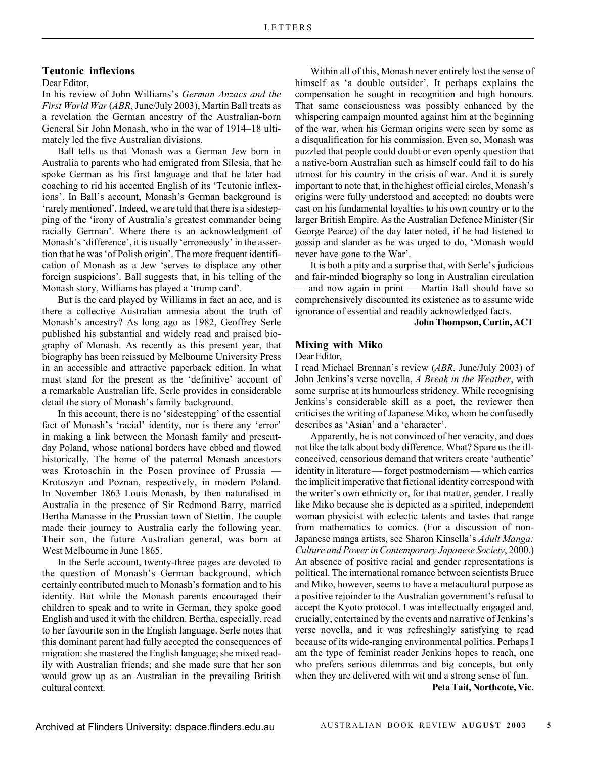#### **Teutonic inflexions**

Dear Editor,

In his review of John Williams's *German Anzacs and the First World War* (*ABR*, June/July 2003), Martin Ball treats as a revelation the German ancestry of the Australian-born General Sir John Monash, who in the war of 1914–18 ultimately led the five Australian divisions.

Ball tells us that Monash was a German Jew born in Australia to parents who had emigrated from Silesia, that he spoke German as his first language and that he later had coaching to rid his accented English of its 'Teutonic inflexions'. In Ball's account, Monash's German background is 'rarely mentioned'. Indeed, we are told that there is a sidestepping of the 'irony of Australia's greatest commander being racially German'. Where there is an acknowledgment of Monash's 'difference', it is usually 'erroneously' in the assertion that he was 'of Polish origin'. The more frequent identification of Monash as a Jew 'serves to displace any other foreign suspicions'. Ball suggests that, in his telling of the Monash story, Williams has played a 'trump card'.

But is the card played by Williams in fact an ace, and is there a collective Australian amnesia about the truth of Monash's ancestry? As long ago as 1982, Geoffrey Serle published his substantial and widely read and praised biography of Monash. As recently as this present year, that biography has been reissued by Melbourne University Press in an accessible and attractive paperback edition. In what must stand for the present as the 'definitive' account of a remarkable Australian life, Serle provides in considerable detail the story of Monash's family background.

In this account, there is no 'sidestepping' of the essential fact of Monash's 'racial' identity, nor is there any 'error' in making a link between the Monash family and presentday Poland, whose national borders have ebbed and flowed historically. The home of the paternal Monash ancestors was Krotoschin in the Posen province of Prussia — Krotoszyn and Poznan, respectively, in modern Poland. In November 1863 Louis Monash, by then naturalised in Australia in the presence of Sir Redmond Barry, married Bertha Manasse in the Prussian town of Stettin. The couple made their journey to Australia early the following year. Their son, the future Australian general, was born at West Melbourne in June 1865.

In the Serle account, twenty-three pages are devoted to the question of Monash's German background, which certainly contributed much to Monash's formation and to his identity. But while the Monash parents encouraged their children to speak and to write in German, they spoke good English and used it with the children. Bertha, especially, read to her favourite son in the English language. Serle notes that this dominant parent had fully accepted the consequences of migration: she mastered the English language; she mixed readily with Australian friends; and she made sure that her son would grow up as an Australian in the prevailing British cultural context.

Within all of this, Monash never entirely lost the sense of himself as 'a double outsider'. It perhaps explains the compensation he sought in recognition and high honours. That same consciousness was possibly enhanced by the whispering campaign mounted against him at the beginning of the war, when his German origins were seen by some as a disqualification for his commission. Even so, Monash was puzzled that people could doubt or even openly question that a native-born Australian such as himself could fail to do his utmost for his country in the crisis of war. And it is surely important to note that, in the highest official circles, Monash's origins were fully understood and accepted: no doubts were cast on his fundamental loyalties to his own country or to the larger British Empire. As the Australian Defence Minister (Sir George Pearce) of the day later noted, if he had listened to gossip and slander as he was urged to do, 'Monash would never have gone to the War'.

It is both a pity and a surprise that, with Serle's judicious and fair-minded biography so long in Australian circulation — and now again in print — Martin Ball should have so comprehensively discounted its existence as to assume wide ignorance of essential and readily acknowledged facts.

**John Thompson, Curtin, ACT**

### **Mixing with Miko**

Dear Editor,

I read Michael Brennan's review (*ABR*, June/July 2003) of John Jenkins's verse novella, *A Break in the Weather*, with some surprise at its humourless stridency. While recognising Jenkins's considerable skill as a poet, the reviewer then criticises the writing of Japanese Miko, whom he confusedly describes as 'Asian' and a 'character'.

Apparently, he is not convinced of her veracity, and does not like the talk about body difference. What? Spare us the illconceived, censorious demand that writers create 'authentic' identity in literature — forget postmodernism — which carries the implicit imperative that fictional identity correspond with the writer's own ethnicity or, for that matter, gender. I really like Miko because she is depicted as a spirited, independent woman physicist with eclectic talents and tastes that range from mathematics to comics. (For a discussion of non-Japanese manga artists, see Sharon Kinsella's *Adult Manga: Culture and Power in Contemporary Japanese Society*, 2000.) An absence of positive racial and gender representations is political. The international romance between scientists Bruce and Miko, however, seems to have a metacultural purpose as a positive rejoinder to the Australian government's refusal to accept the Kyoto protocol. I was intellectually engaged and, crucially, entertained by the events and narrative of Jenkins's verse novella, and it was refreshingly satisfying to read because of its wide-ranging environmental politics. Perhaps I am the type of feminist reader Jenkins hopes to reach, one who prefers serious dilemmas and big concepts, but only when they are delivered with wit and a strong sense of fun.

**Peta Tait, Northcote, Vic.**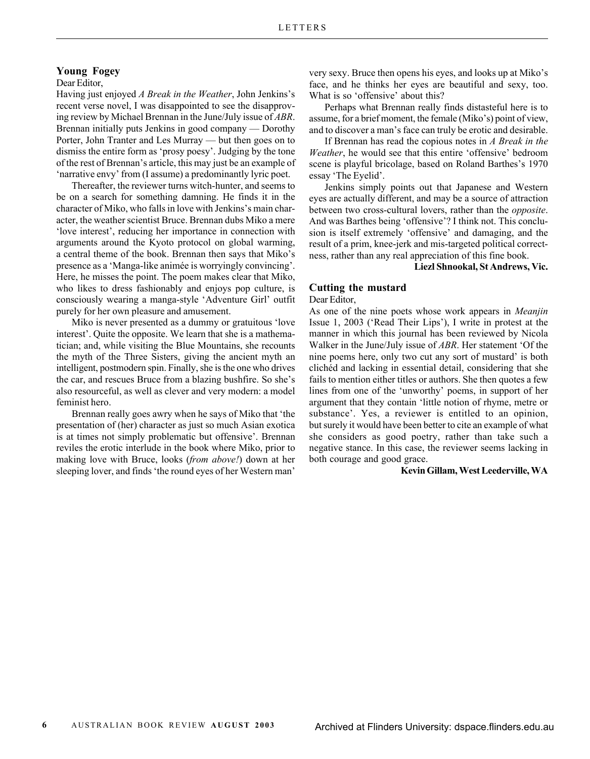## **Young Fogey**

#### Dear Editor,

Having just enjoyed *A Break in the Weather*, John Jenkins's recent verse novel, I was disappointed to see the disapproving review by Michael Brennan in the June/July issue of *ABR*. Brennan initially puts Jenkins in good company — Dorothy Porter, John Tranter and Les Murray — but then goes on to dismiss the entire form as 'prosy poesy'. Judging by the tone of the rest of Brennan's article, this may just be an example of 'narrative envy' from (I assume) a predominantly lyric poet.

Thereafter, the reviewer turns witch-hunter, and seems to be on a search for something damning. He finds it in the character of Miko, who falls in love with Jenkins's main character, the weather scientist Bruce. Brennan dubs Miko a mere 'love interest', reducing her importance in connection with arguments around the Kyoto protocol on global warming, a central theme of the book. Brennan then says that Miko's presence as a 'Manga-like animée is worryingly convincing'. Here, he misses the point. The poem makes clear that Miko, who likes to dress fashionably and enjoys pop culture, is consciously wearing a manga-style 'Adventure Girl' outfit purely for her own pleasure and amusement.

Miko is never presented as a dummy or gratuitous 'love interest'. Quite the opposite. We learn that she is a mathematician; and, while visiting the Blue Mountains, she recounts the myth of the Three Sisters, giving the ancient myth an intelligent, postmodern spin. Finally, she is the one who drives the car, and rescues Bruce from a blazing bushfire. So she's also resourceful, as well as clever and very modern: a model feminist hero.

Brennan really goes awry when he says of Miko that 'the presentation of (her) character as just so much Asian exotica is at times not simply problematic but offensive'. Brennan reviles the erotic interlude in the book where Miko, prior to making love with Bruce, looks (*from above!*) down at her sleeping lover, and finds 'the round eyes of her Western man'

very sexy. Bruce then opens his eyes, and looks up at Miko's face, and he thinks her eyes are beautiful and sexy, too. What is so 'offensive' about this?

Perhaps what Brennan really finds distasteful here is to assume, for a brief moment, the female (Miko's) point of view, and to discover a man's face can truly be erotic and desirable.

If Brennan has read the copious notes in *A Break in the Weather*, he would see that this entire 'offensive' bedroom scene is playful bricolage, based on Roland Barthes's 1970 essay 'The Eyelid'.

Jenkins simply points out that Japanese and Western eyes are actually different, and may be a source of attraction between two cross-cultural lovers, rather than the *opposite*. And was Barthes being 'offensive'? I think not. This conclusion is itself extremely 'offensive' and damaging, and the result of a prim, knee-jerk and mis-targeted political correctness, rather than any real appreciation of this fine book.

#### **Liezl Shnookal, St Andrews, Vic.**

#### **Cutting the mustard**

Dear Editor,

As one of the nine poets whose work appears in *Meanjin* Issue 1, 2003 ('Read Their Lips'), I write in protest at the manner in which this journal has been reviewed by Nicola Walker in the June/July issue of *ABR*. Her statement 'Of the nine poems here, only two cut any sort of mustard' is both clichéd and lacking in essential detail, considering that she fails to mention either titles or authors. She then quotes a few lines from one of the 'unworthy' poems, in support of her argument that they contain 'little notion of rhyme, metre or substance'. Yes, a reviewer is entitled to an opinion, but surely it would have been better to cite an example of what she considers as good poetry, rather than take such a negative stance. In this case, the reviewer seems lacking in both courage and good grace.

#### **Kevin Gillam, West Leederville, WA**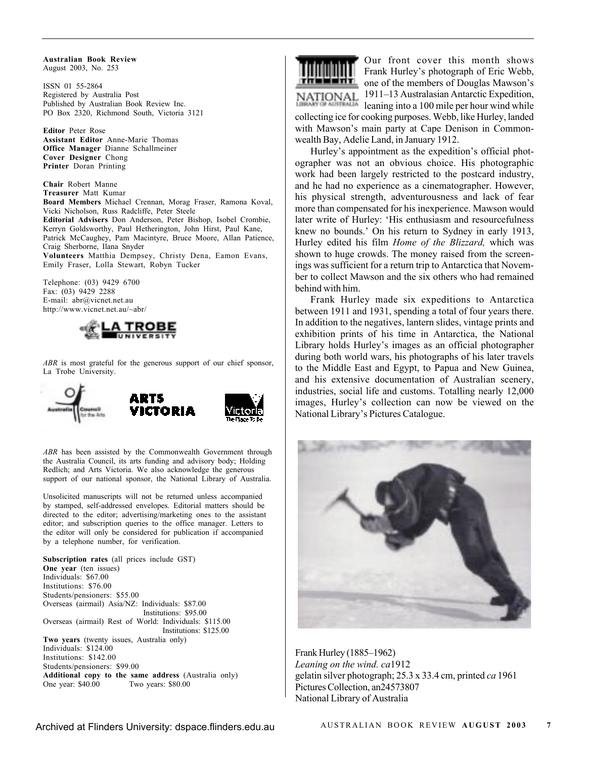**Australian Book Review** August 2003, No. 253

ISSN 01 55-2864 Registered by Australia Post Published by Australian Book Review Inc. PO Box 2320, Richmond South, Victoria 3121

**Editor** Peter Rose **Assistant Editor** Anne-Marie Thomas **Office Manager** Dianne Schallmeiner **Cover Designer** Chong **Printer** Doran Printing

**Chair** Robert Manne **Treasurer** Matt Kumar **Board Members** Michael Crennan, Morag Fraser, Ramona Koval, Vicki Nicholson, Russ Radcliffe, Peter Steele **Editorial Advisers** Don Anderson, Peter Bishop, Isobel Crombie, Kerryn Goldsworthy, Paul Hetherington, John Hirst, Paul Kane, Patrick McCaughey, Pam Macintyre, Bruce Moore, Allan Patience, Craig Sherborne, Ilana Snyder **Volunteers** Matthia Dempsey, Christy Dena, Eamon Evans, Emily Fraser, Lolla Stewart, Robyn Tucker

Telephone: (03) 9429 6700 Fax:  $(03)$  9429 2288 E-mail: abr@vicnet.net.au http://www.vicnet.net.au/~abr/



*ABR* is most grateful for the generous support of our chief sponsor, La Trobe University.



*ABR* has been assisted by the Commonwealth Government through the Australia Council, its arts funding and advisory body; Holding Redlich; and Arts Victoria. We also acknowledge the generous support of our national sponsor, the National Library of Australia.

Unsolicited manuscripts will not be returned unless accompanied by stamped, self-addressed envelopes. Editorial matters should be directed to the editor; advertising/marketing ones to the assistant editor; and subscription queries to the office manager. Letters to the editor will only be considered for publication if accompanied by a telephone number, for verification.

**Subscription rates** (all prices include GST) **One year** (ten issues) Individuals: \$67.00 Institutions: \$76.00 Students/pensioners: \$55.00 Overseas (airmail) Asia/NZ: Individuals: \$87.00 Institutions: \$95.00 Overseas (airmail) Rest of World: Individuals: \$115.00 Institutions: \$125.00 **Two years** (twenty issues, Australia only) Individuals: \$124.00 Institutions: \$142.00 Students/pensioners: \$99.00 **Additional copy to the same address** (Australia only) One year: \$40.00



Our front cover this month shows Frank Hurley's photograph of Eric Webb, one of the members of Douglas Mawson's 1911–13 Australasian Antarctic Expedition,

leaning into a 100 mile per hour wind while collecting ice for cooking purposes. Webb, like Hurley, landed with Mawson's main party at Cape Denison in Commonwealth Bay, Adelie Land, in January 1912.

Hurley's appointment as the expedition's official photographer was not an obvious choice. His photographic work had been largely restricted to the postcard industry, and he had no experience as a cinematographer. However, his physical strength, adventurousness and lack of fear more than compensated for his inexperience. Mawson would later write of Hurley: 'His enthusiasm and resourcefulness knew no bounds.' On his return to Sydney in early 1913, Hurley edited his film *Home of the Blizzard,* which was shown to huge crowds. The money raised from the screenings was sufficient for a return trip to Antarctica that November to collect Mawson and the six others who had remained behind with him.

Frank Hurley made six expeditions to Antarctica between 1911 and 1931, spending a total of four years there. In addition to the negatives, lantern slides, vintage prints and exhibition prints of his time in Antarctica, the National Library holds Hurley's images as an official photographer during both world wars, his photographs of his later travels to the Middle East and Egypt, to Papua and New Guinea, and his extensive documentation of Australian scenery, industries, social life and customs. Totalling nearly 12,000 images, Hurley's collection can now be viewed on the National Library's Pictures Catalogue.



Frank Hurley (1885–1962) *Leaning on the wind. ca*1912 gelatin silver photograph; 25.3 x 33.4 cm, printed *ca* 1961 Pictures Collection, an24573807 National Library of Australia